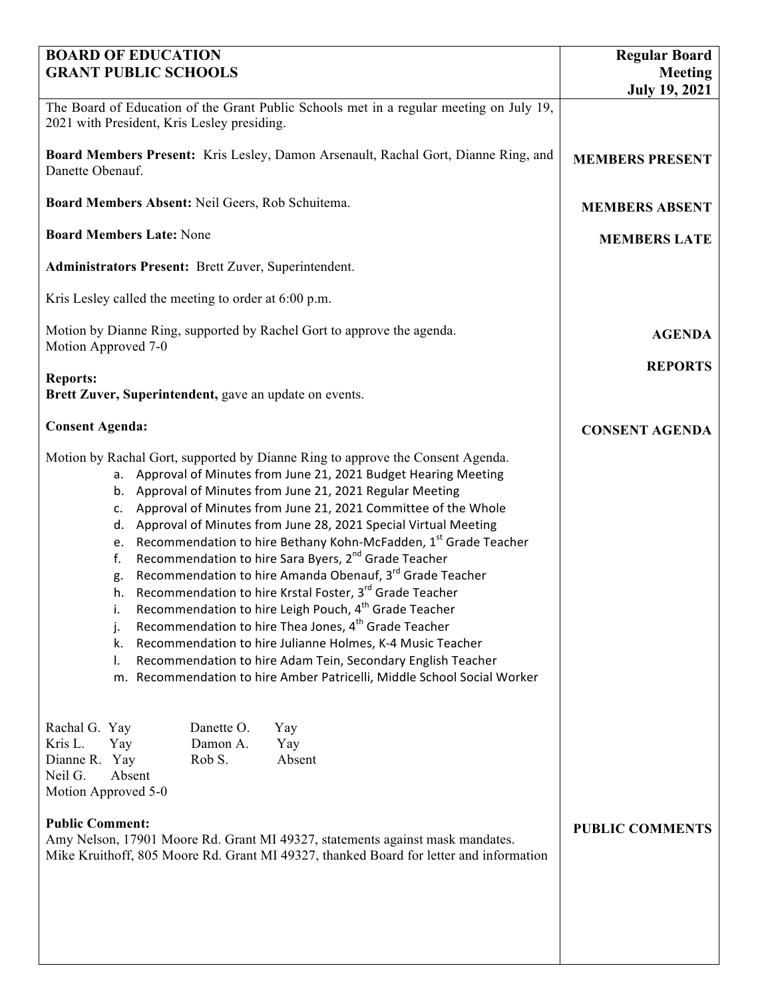| <b>BOARD OF EDUCATION</b>                                                                                                                                                                                                                                                                                                                                                                                                                                                                                                                                                                                                                                                                                                                                                                                                                                                                                                                                                                                                                      | <b>Regular Board</b>                   |
|------------------------------------------------------------------------------------------------------------------------------------------------------------------------------------------------------------------------------------------------------------------------------------------------------------------------------------------------------------------------------------------------------------------------------------------------------------------------------------------------------------------------------------------------------------------------------------------------------------------------------------------------------------------------------------------------------------------------------------------------------------------------------------------------------------------------------------------------------------------------------------------------------------------------------------------------------------------------------------------------------------------------------------------------|----------------------------------------|
| <b>GRANT PUBLIC SCHOOLS</b>                                                                                                                                                                                                                                                                                                                                                                                                                                                                                                                                                                                                                                                                                                                                                                                                                                                                                                                                                                                                                    | <b>Meeting</b><br><b>July 19, 2021</b> |
| The Board of Education of the Grant Public Schools met in a regular meeting on July 19,<br>2021 with President, Kris Lesley presiding.                                                                                                                                                                                                                                                                                                                                                                                                                                                                                                                                                                                                                                                                                                                                                                                                                                                                                                         |                                        |
| Board Members Present: Kris Lesley, Damon Arsenault, Rachal Gort, Dianne Ring, and<br>Danette Obenauf.                                                                                                                                                                                                                                                                                                                                                                                                                                                                                                                                                                                                                                                                                                                                                                                                                                                                                                                                         | <b>MEMBERS PRESENT</b>                 |
| Board Members Absent: Neil Geers, Rob Schuitema.                                                                                                                                                                                                                                                                                                                                                                                                                                                                                                                                                                                                                                                                                                                                                                                                                                                                                                                                                                                               | <b>MEMBERS ABSENT</b>                  |
| <b>Board Members Late: None</b>                                                                                                                                                                                                                                                                                                                                                                                                                                                                                                                                                                                                                                                                                                                                                                                                                                                                                                                                                                                                                | <b>MEMBERS LATE</b>                    |
| Administrators Present: Brett Zuver, Superintendent.                                                                                                                                                                                                                                                                                                                                                                                                                                                                                                                                                                                                                                                                                                                                                                                                                                                                                                                                                                                           |                                        |
| Kris Lesley called the meeting to order at 6:00 p.m.                                                                                                                                                                                                                                                                                                                                                                                                                                                                                                                                                                                                                                                                                                                                                                                                                                                                                                                                                                                           |                                        |
| Motion by Dianne Ring, supported by Rachel Gort to approve the agenda.<br>Motion Approved 7-0                                                                                                                                                                                                                                                                                                                                                                                                                                                                                                                                                                                                                                                                                                                                                                                                                                                                                                                                                  | <b>AGENDA</b>                          |
| <b>Reports:</b>                                                                                                                                                                                                                                                                                                                                                                                                                                                                                                                                                                                                                                                                                                                                                                                                                                                                                                                                                                                                                                | <b>REPORTS</b>                         |
| Brett Zuver, Superintendent, gave an update on events.                                                                                                                                                                                                                                                                                                                                                                                                                                                                                                                                                                                                                                                                                                                                                                                                                                                                                                                                                                                         |                                        |
| <b>Consent Agenda:</b>                                                                                                                                                                                                                                                                                                                                                                                                                                                                                                                                                                                                                                                                                                                                                                                                                                                                                                                                                                                                                         | <b>CONSENT AGENDA</b>                  |
| Motion by Rachal Gort, supported by Dianne Ring to approve the Consent Agenda.<br>Approval of Minutes from June 21, 2021 Budget Hearing Meeting<br>а.<br>Approval of Minutes from June 21, 2021 Regular Meeting<br>b.<br>Approval of Minutes from June 21, 2021 Committee of the Whole<br>c.<br>Approval of Minutes from June 28, 2021 Special Virtual Meeting<br>d.<br>Recommendation to hire Bethany Kohn-McFadden, 1st Grade Teacher<br>e.<br>Recommendation to hire Sara Byers, 2 <sup>nd</sup> Grade Teacher<br>f.<br>Recommendation to hire Amanda Obenauf, 3rd Grade Teacher<br>g.<br>Recommendation to hire Krstal Foster, 3 <sup>rd</sup> Grade Teacher<br>h.<br>Recommendation to hire Leigh Pouch, 4 <sup>th</sup> Grade Teacher<br>i.<br>Recommendation to hire Thea Jones, 4 <sup>th</sup> Grade Teacher<br>j.<br>Recommendation to hire Julianne Holmes, K-4 Music Teacher<br>k.<br>Recommendation to hire Adam Tein, Secondary English Teacher<br>I.<br>m. Recommendation to hire Amber Patricelli, Middle School Social Worker |                                        |
| Rachal G. Yay<br>Danette O.<br>Yay<br>Kris L.<br>Damon A.<br>Yay<br>Yay<br>Dianne R. Yay<br>Rob S.<br>Absent<br>Neil G.<br>Absent<br>Motion Approved 5-0<br><b>Public Comment:</b><br>Amy Nelson, 17901 Moore Rd. Grant MI 49327, statements against mask mandates.<br>Mike Kruithoff, 805 Moore Rd. Grant MI 49327, thanked Board for letter and information                                                                                                                                                                                                                                                                                                                                                                                                                                                                                                                                                                                                                                                                                  | <b>PUBLIC COMMENTS</b>                 |